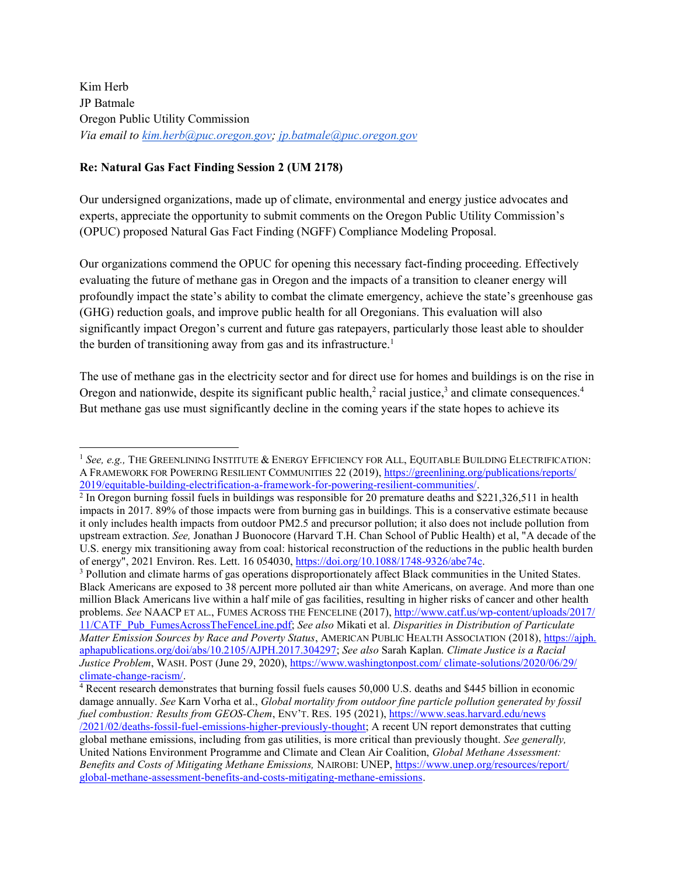Kim Herb JP Batmale Oregon Public Utility Commission Via email to kim.herb@puc.oregon.gov; jp.batmale@puc.oregon.gov

### Re: Natural Gas Fact Finding Session 2 (UM 2178)

 $\overline{a}$ 

Our undersigned organizations, made up of climate, environmental and energy justice advocates and experts, appreciate the opportunity to submit comments on the Oregon Public Utility Commission's (OPUC) proposed Natural Gas Fact Finding (NGFF) Compliance Modeling Proposal.

Our organizations commend the OPUC for opening this necessary fact-finding proceeding. Effectively evaluating the future of methane gas in Oregon and the impacts of a transition to cleaner energy will profoundly impact the state's ability to combat the climate emergency, achieve the state's greenhouse gas (GHG) reduction goals, and improve public health for all Oregonians. This evaluation will also significantly impact Oregon's current and future gas ratepayers, particularly those least able to shoulder the burden of transitioning away from gas and its infrastructure.<sup>1</sup>

The use of methane gas in the electricity sector and for direct use for homes and buildings is on the rise in Oregon and nationwide, despite its significant public health,<sup>2</sup> racial justice,<sup>3</sup> and climate consequences.<sup>4</sup> But methane gas use must significantly decline in the coming years if the state hopes to achieve its

<sup>3</sup> Pollution and climate harms of gas operations disproportionately affect Black communities in the United States. Black Americans are exposed to 38 percent more polluted air than white Americans, on average. And more than one million Black Americans live within a half mile of gas facilities, resulting in higher risks of cancer and other health problems. See NAACP ET AL., FUMES ACROSS THE FENCELINE (2017), http://www.catf.us/wp-content/uploads/2017/ 11/CATF\_Pub\_FumesAcrossTheFenceLine.pdf; See also Mikati et al. Disparities in Distribution of Particulate Matter Emission Sources by Race and Poverty Status, AMERICAN PUBLIC HEALTH ASSOCIATION (2018), https://ajph. aphapublications.org/doi/abs/10.2105/AJPH.2017.304297; See also Sarah Kaplan. Climate Justice is a Racial Justice Problem, WASH. POST (June 29, 2020), https://www.washingtonpost.com/climate-solutions/2020/06/29/ climate-change-racism/.

4 Recent research demonstrates that burning fossil fuels causes 50,000 U.S. deaths and \$445 billion in economic damage annually. See Karn Vorha et al., Global mortality from outdoor fine particle pollution generated by fossil fuel combustion: Results from GEOS-Chem, ENV'T. RES. 195 (2021), https://www.seas.harvard.edu/news /2021/02/deaths-fossil-fuel-emissions-higher-previously-thought; A recent UN report demonstrates that cutting global methane emissions, including from gas utilities, is more critical than previously thought. See generally, United Nations Environment Programme and Climate and Clean Air Coalition, Global Methane Assessment: Benefits and Costs of Mitigating Methane Emissions, NAIROBI: UNEP, https://www.unep.org/resources/report/ global-methane-assessment-benefits-and-costs-mitigating-methane-emissions.

 $1$  See, e.g., The Greenlining Institute & Energy Efficiency for All, Equitable Building Electrification: A FRAMEWORK FOR POWERING RESILIENT COMMUNITIES 22 (2019), https://greenlining.org/publications/reports/ 2019/equitable-building-electrification-a-framework-for-powering-resilient-communities/.

 $2 \text{ In Oregon burning fossil fuels in buildings was responsible for 20 premature deaths and $221,326,511 in health.}$ impacts in 2017. 89% of those impacts were from burning gas in buildings. This is a conservative estimate because it only includes health impacts from outdoor PM2.5 and precursor pollution; it also does not include pollution from upstream extraction. See, Jonathan J Buonocore (Harvard T.H. Chan School of Public Health) et al, "A decade of the U.S. energy mix transitioning away from coal: historical reconstruction of the reductions in the public health burden of energy", 2021 Environ. Res. Lett. 16 054030, https://doi.org/10.1088/1748-9326/abe74c.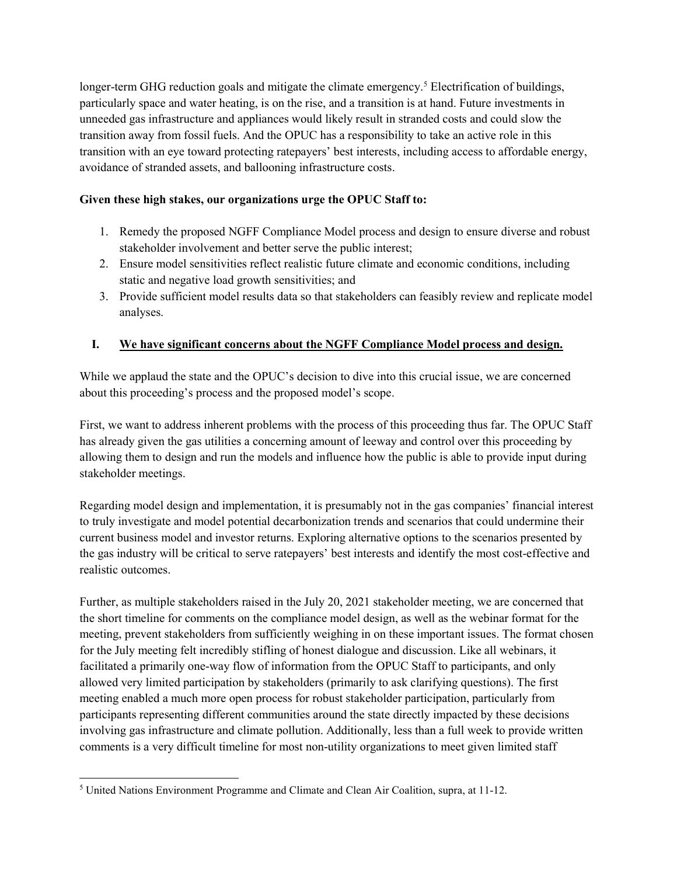longer-term GHG reduction goals and mitigate the climate emergency.<sup>5</sup> Electrification of buildings, particularly space and water heating, is on the rise, and a transition is at hand. Future investments in unneeded gas infrastructure and appliances would likely result in stranded costs and could slow the transition away from fossil fuels. And the OPUC has a responsibility to take an active role in this transition with an eye toward protecting ratepayers' best interests, including access to affordable energy, avoidance of stranded assets, and ballooning infrastructure costs.

## Given these high stakes, our organizations urge the OPUC Staff to:

- 1. Remedy the proposed NGFF Compliance Model process and design to ensure diverse and robust stakeholder involvement and better serve the public interest;
- 2. Ensure model sensitivities reflect realistic future climate and economic conditions, including static and negative load growth sensitivities; and
- 3. Provide sufficient model results data so that stakeholders can feasibly review and replicate model analyses.

## I. We have significant concerns about the NGFF Compliance Model process and design.

While we applaud the state and the OPUC's decision to dive into this crucial issue, we are concerned about this proceeding's process and the proposed model's scope.

First, we want to address inherent problems with the process of this proceeding thus far. The OPUC Staff has already given the gas utilities a concerning amount of leeway and control over this proceeding by allowing them to design and run the models and influence how the public is able to provide input during stakeholder meetings.

Regarding model design and implementation, it is presumably not in the gas companies' financial interest to truly investigate and model potential decarbonization trends and scenarios that could undermine their current business model and investor returns. Exploring alternative options to the scenarios presented by the gas industry will be critical to serve ratepayers' best interests and identify the most cost-effective and realistic outcomes.

Further, as multiple stakeholders raised in the July 20, 2021 stakeholder meeting, we are concerned that the short timeline for comments on the compliance model design, as well as the webinar format for the meeting, prevent stakeholders from sufficiently weighing in on these important issues. The format chosen for the July meeting felt incredibly stifling of honest dialogue and discussion. Like all webinars, it facilitated a primarily one-way flow of information from the OPUC Staff to participants, and only allowed very limited participation by stakeholders (primarily to ask clarifying questions). The first meeting enabled a much more open process for robust stakeholder participation, particularly from participants representing different communities around the state directly impacted by these decisions involving gas infrastructure and climate pollution. Additionally, less than a full week to provide written comments is a very difficult timeline for most non-utility organizations to meet given limited staff

 <sup>5</sup> United Nations Environment Programme and Climate and Clean Air Coalition, supra, at 11-12.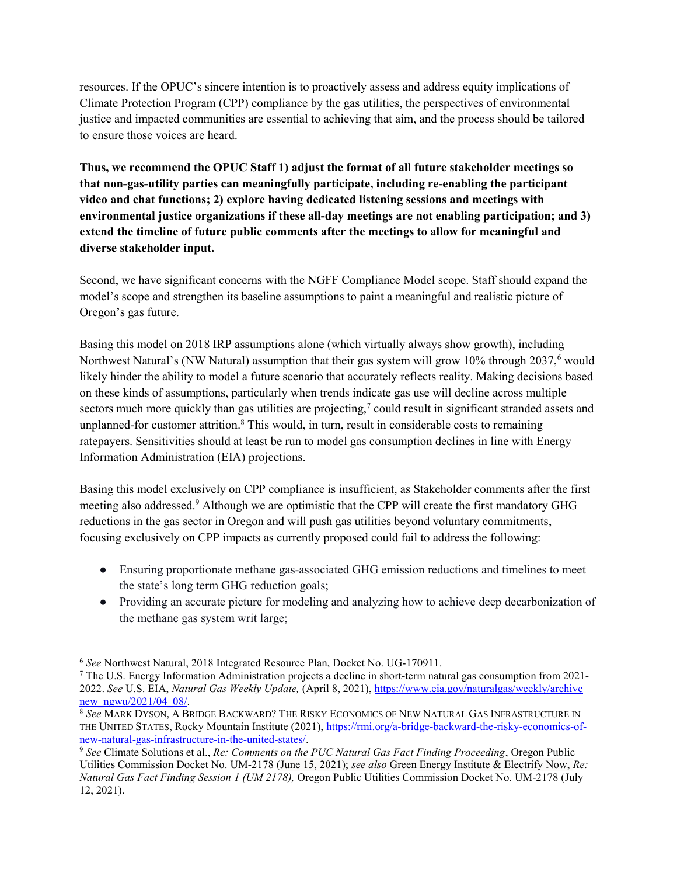resources. If the OPUC's sincere intention is to proactively assess and address equity implications of Climate Protection Program (CPP) compliance by the gas utilities, the perspectives of environmental justice and impacted communities are essential to achieving that aim, and the process should be tailored to ensure those voices are heard.

Thus, we recommend the OPUC Staff 1) adjust the format of all future stakeholder meetings so that non-gas-utility parties can meaningfully participate, including re-enabling the participant video and chat functions; 2) explore having dedicated listening sessions and meetings with environmental justice organizations if these all-day meetings are not enabling participation; and 3) extend the timeline of future public comments after the meetings to allow for meaningful and diverse stakeholder input.

Second, we have significant concerns with the NGFF Compliance Model scope. Staff should expand the model's scope and strengthen its baseline assumptions to paint a meaningful and realistic picture of Oregon's gas future.

Basing this model on 2018 IRP assumptions alone (which virtually always show growth), including Northwest Natural's (NW Natural) assumption that their gas system will grow 10% through 2037,<sup>6</sup> would likely hinder the ability to model a future scenario that accurately reflects reality. Making decisions based on these kinds of assumptions, particularly when trends indicate gas use will decline across multiple sectors much more quickly than gas utilities are projecting,<sup>7</sup> could result in significant stranded assets and unplanned-for customer attrition.<sup>8</sup> This would, in turn, result in considerable costs to remaining ratepayers. Sensitivities should at least be run to model gas consumption declines in line with Energy Information Administration (EIA) projections.

Basing this model exclusively on CPP compliance is insufficient, as Stakeholder comments after the first meeting also addressed.<sup>9</sup> Although we are optimistic that the CPP will create the first mandatory GHG reductions in the gas sector in Oregon and will push gas utilities beyond voluntary commitments, focusing exclusively on CPP impacts as currently proposed could fail to address the following:

- Ensuring proportionate methane gas-associated GHG emission reductions and timelines to meet the state's long term GHG reduction goals;
- Providing an accurate picture for modeling and analyzing how to achieve deep decarbonization of the methane gas system writ large;

 $\overline{a}$ <sup>6</sup> See Northwest Natural, 2018 Integrated Resource Plan, Docket No. UG‐170911.

<sup>7</sup> The U.S. Energy Information Administration projects a decline in short-term natural gas consumption from 2021- 2022. See U.S. EIA, Natural Gas Weekly Update, (April 8, 2021), https://www.eia.gov/naturalgas/weekly/archive new ngwu/2021/04 08/.

<sup>8</sup> See MARK DYSON, A BRIDGE BACKWARD? THE RISKY ECONOMICS OF NEW NATURAL GAS INFRASTRUCTURE IN THE UNITED STATES, Rocky Mountain Institute (2021), https://rmi.org/a-bridge-backward-the-risky-economics-ofnew-natural-gas-infrastructure-in-the-united-states/.

 $9$  See Climate Solutions et al., Re: Comments on the PUC Natural Gas Fact Finding Proceeding, Oregon Public Utilities Commission Docket No. UM-2178 (June 15, 2021); see also Green Energy Institute & Electrify Now, Re: Natural Gas Fact Finding Session 1 (UM 2178), Oregon Public Utilities Commission Docket No. UM-2178 (July 12, 2021).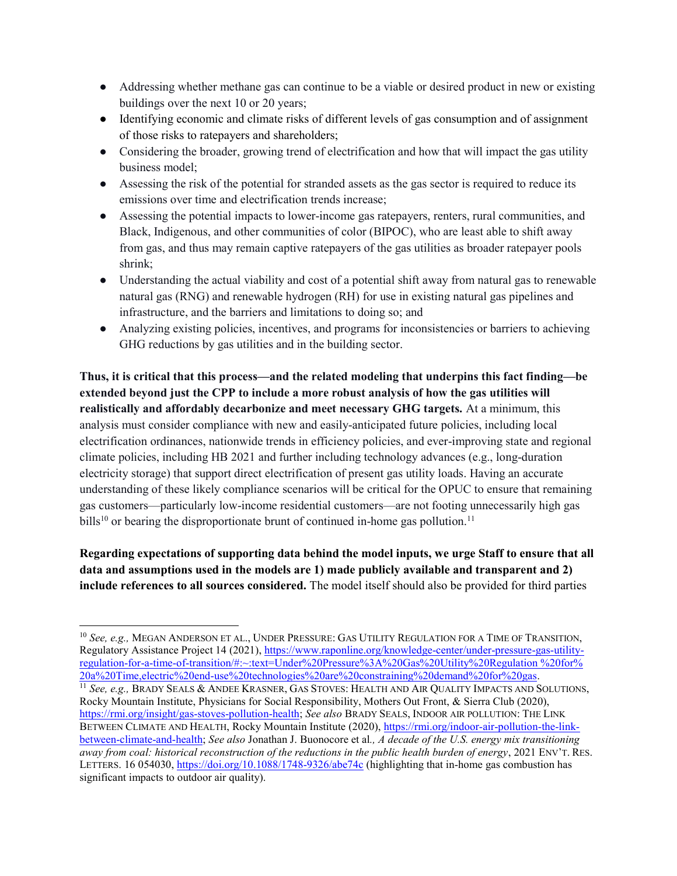- Addressing whether methane gas can continue to be a viable or desired product in new or existing buildings over the next 10 or 20 years;
- Identifying economic and climate risks of different levels of gas consumption and of assignment of those risks to ratepayers and shareholders;
- Considering the broader, growing trend of electrification and how that will impact the gas utility business model;
- Assessing the risk of the potential for stranded assets as the gas sector is required to reduce its emissions over time and electrification trends increase;
- Assessing the potential impacts to lower-income gas ratepayers, renters, rural communities, and Black, Indigenous, and other communities of color (BIPOC), who are least able to shift away from gas, and thus may remain captive ratepayers of the gas utilities as broader ratepayer pools shrink;
- Understanding the actual viability and cost of a potential shift away from natural gas to renewable natural gas (RNG) and renewable hydrogen (RH) for use in existing natural gas pipelines and infrastructure, and the barriers and limitations to doing so; and
- Analyzing existing policies, incentives, and programs for inconsistencies or barriers to achieving GHG reductions by gas utilities and in the building sector.

Thus, it is critical that this process—and the related modeling that underpins this fact finding—be extended beyond just the CPP to include a more robust analysis of how the gas utilities will realistically and affordably decarbonize and meet necessary GHG targets. At a minimum, this analysis must consider compliance with new and easily-anticipated future policies, including local electrification ordinances, nationwide trends in efficiency policies, and ever-improving state and regional climate policies, including HB 2021 and further including technology advances (e.g., long-duration electricity storage) that support direct electrification of present gas utility loads. Having an accurate understanding of these likely compliance scenarios will be critical for the OPUC to ensure that remaining gas customers—particularly low-income residential customers—are not footing unnecessarily high gas bills<sup>10</sup> or bearing the disproportionate brunt of continued in-home gas pollution.<sup>11</sup>

Regarding expectations of supporting data behind the model inputs, we urge Staff to ensure that all data and assumptions used in the models are 1) made publicly available and transparent and 2) include references to all sources considered. The model itself should also be provided for third parties

<sup>&</sup>lt;sup>10</sup> See, e.g., MEGAN ANDERSON ET AL., UNDER PRESSURE: GAS UTILITY REGULATION FOR A TIME OF TRANSITION, Regulatory Assistance Project 14 (2021), https://www.raponline.org/knowledge-center/under-pressure-gas-utilityregulation-for-a-time-of-transition/#:~:text=Under%20Pressure%3A%20Gas%20Utility%20Regulation %20for% 20a%20Time,electric%20end-use%20technologies%20are%20constraining%20demand%20for%20gas. <sup>11</sup> See, e.g., BRADY SEALS & ANDEE KRASNER, GAS STOVES: HEALTH AND AIR QUALITY IMPACTS AND SOLUTIONS, Rocky Mountain Institute, Physicians for Social Responsibility, Mothers Out Front, & Sierra Club (2020), https://rmi.org/insight/gas-stoves-pollution-health; See also BRADY SEALS, INDOOR AIR POLLUTION: THE LINK BETWEEN CLIMATE AND HEALTH, Rocky Mountain Institute (2020), https://rmi.org/indoor-air-pollution-the-linkbetween-climate-and-health; See also Jonathan J. Buonocore et al., A decade of the U.S. energy mix transitioning away from coal: historical reconstruction of the reductions in the public health burden of energy, 2021 ENV'T. RES. LETTERS. 16 054030, https://doi.org/10.1088/1748-9326/abe74c (highlighting that in-home gas combustion has significant impacts to outdoor air quality).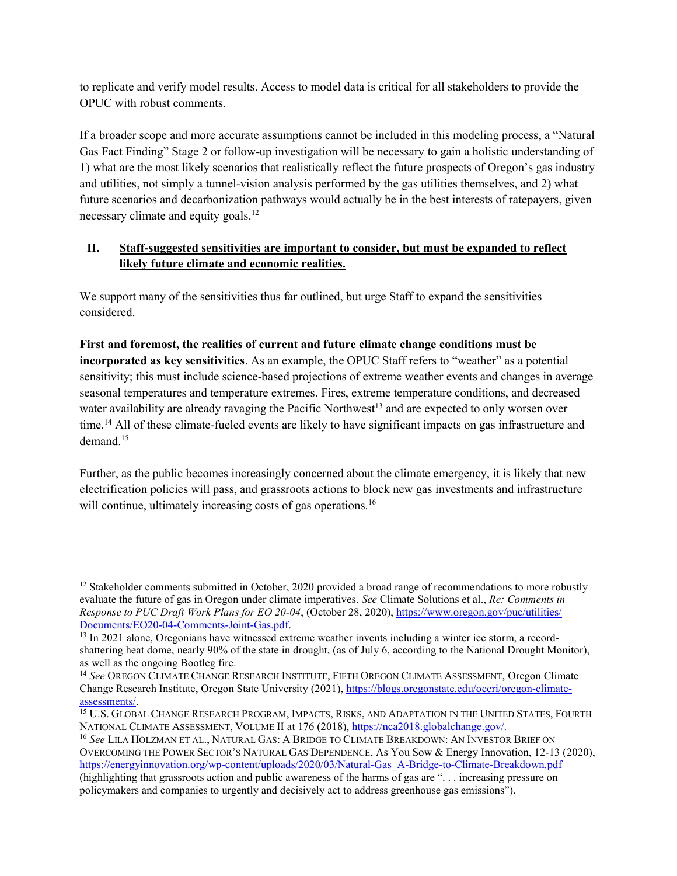to replicate and verify model results. Access to model data is critical for all stakeholders to provide the OPUC with robust comments.

If a broader scope and more accurate assumptions cannot be included in this modeling process, a "Natural Gas Fact Finding" Stage 2 or follow-up investigation will be necessary to gain a holistic understanding of 1) what are the most likely scenarios that realistically reflect the future prospects of Oregon's gas industry and utilities, not simply a tunnel-vision analysis performed by the gas utilities themselves, and 2) what future scenarios and decarbonization pathways would actually be in the best interests of ratepayers, given necessary climate and equity goals.<sup>12</sup>

## II. Staff-suggested sensitivities are important to consider, but must be expanded to reflect likely future climate and economic realities.

We support many of the sensitivities thus far outlined, but urge Staff to expand the sensitivities considered.

First and foremost, the realities of current and future climate change conditions must be incorporated as key sensitivities. As an example, the OPUC Staff refers to "weather" as a potential sensitivity; this must include science-based projections of extreme weather events and changes in average seasonal temperatures and temperature extremes. Fires, extreme temperature conditions, and decreased water availability are already ravaging the Pacific Northwest<sup>13</sup> and are expected to only worsen over time.<sup>14</sup> All of these climate-fueled events are likely to have significant impacts on gas infrastructure and demand.<sup>15</sup>

Further, as the public becomes increasingly concerned about the climate emergency, it is likely that new electrification policies will pass, and grassroots actions to block new gas investments and infrastructure will continue, ultimately increasing costs of gas operations.<sup>16</sup>

 $\overline{a}$ 

<sup>&</sup>lt;sup>12</sup> Stakeholder comments submitted in October, 2020 provided a broad range of recommendations to more robustly evaluate the future of gas in Oregon under climate imperatives. See Climate Solutions et al., Re: Comments in Response to PUC Draft Work Plans for EO 20-04, (October 28, 2020), https://www.oregon.gov/puc/utilities/ Documents/EO20-04-Comments-Joint-Gas.pdf.

<sup>&</sup>lt;sup>13</sup> In 2021 alone, Oregonians have witnessed extreme weather invents including a winter ice storm, a recordshattering heat dome, nearly 90% of the state in drought, (as of July 6, according to the National Drought Monitor), as well as the ongoing Bootleg fire.

<sup>&</sup>lt;sup>14</sup> See OREGON CLIMATE CHANGE RESEARCH INSTITUTE, FIFTH OREGON CLIMATE ASSESSMENT, Oregon Climate Change Research Institute, Oregon State University (2021), https://blogs.oregonstate.edu/occri/oregon-climateassessments/.

<sup>15</sup> U.S. GLOBAL CHANGE RESEARCH PROGRAM, IMPACTS, RISKS, AND ADAPTATION IN THE UNITED STATES, FOURTH NATIONAL CLIMATE ASSESSMENT, VOLUME II at 176 (2018), https://nca2018.globalchange.gov/.

<sup>&</sup>lt;sup>16</sup> See LILA HOLZMAN ET AL., NATURAL GAS: A BRIDGE TO CLIMATE BREAKDOWN: AN INVESTOR BRIEF ON OVERCOMING THE POWER SECTOR'S NATURAL GAS DEPENDENCE, As You Sow & Energy Innovation, 12-13 (2020), https://energyinnovation.org/wp-content/uploads/2020/03/Natural-Gas\_A-Bridge-to-Climate-Breakdown.pdf (highlighting that grassroots action and public awareness of the harms of gas are ". . . increasing pressure on policymakers and companies to urgently and decisively act to address greenhouse gas emissions").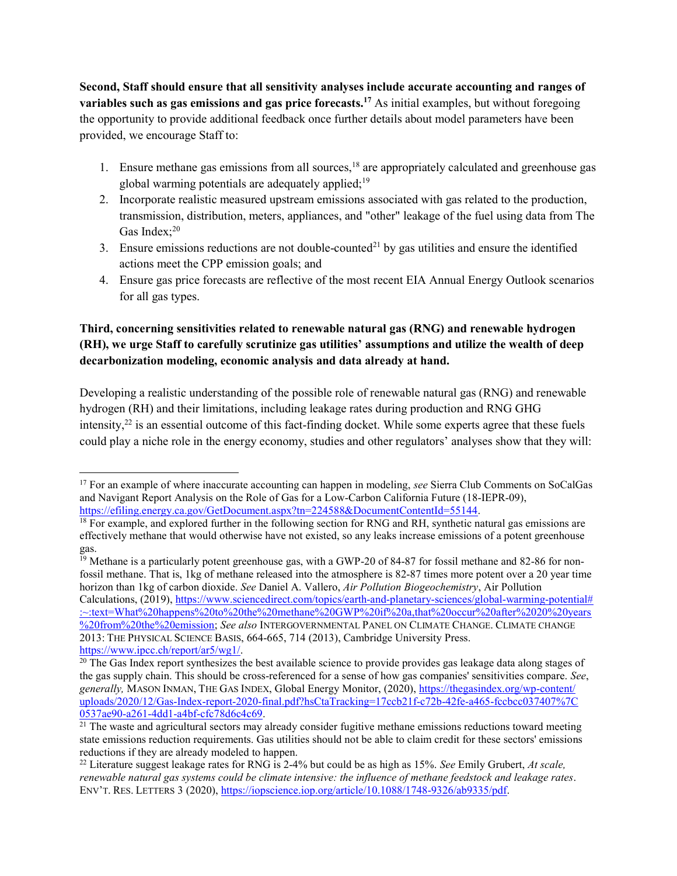Second, Staff should ensure that all sensitivity analyses include accurate accounting and ranges of variables such as gas emissions and gas price forecasts.<sup>17</sup> As initial examples, but without foregoing the opportunity to provide additional feedback once further details about model parameters have been provided, we encourage Staff to:

- 1. Ensure methane gas emissions from all sources,<sup>18</sup> are appropriately calculated and greenhouse gas global warming potentials are adequately applied; $19$
- 2. Incorporate realistic measured upstream emissions associated with gas related to the production, transmission, distribution, meters, appliances, and "other" leakage of the fuel using data from The Gas Index: $20$
- 3. Ensure emissions reductions are not double-counted<sup>21</sup> by gas utilities and ensure the identified actions meet the CPP emission goals; and
- 4. Ensure gas price forecasts are reflective of the most recent EIA Annual Energy Outlook scenarios for all gas types.

## Third, concerning sensitivities related to renewable natural gas (RNG) and renewable hydrogen (RH), we urge Staff to carefully scrutinize gas utilities' assumptions and utilize the wealth of deep decarbonization modeling, economic analysis and data already at hand.

Developing a realistic understanding of the possible role of renewable natural gas (RNG) and renewable hydrogen (RH) and their limitations, including leakage rates during production and RNG GHG intensity, $2^2$  is an essential outcome of this fact-finding docket. While some experts agree that these fuels could play a niche role in the energy economy, studies and other regulators' analyses show that they will:

<sup>&</sup>lt;sup>17</sup> For an example of where inaccurate accounting can happen in modeling, see Sierra Club Comments on SoCalGas and Navigant Report Analysis on the Role of Gas for a Low-Carbon California Future (18-IEPR-09), https://efiling.energy.ca.gov/GetDocument.aspx?tn=224588&DocumentContentId=55144.

<sup>&</sup>lt;sup>18</sup> For example, and explored further in the following section for RNG and RH, synthetic natural gas emissions are effectively methane that would otherwise have not existed, so any leaks increase emissions of a potent greenhouse gas.

 $\frac{19}{19}$  Methane is a particularly potent greenhouse gas, with a GWP-20 of 84-87 for fossil methane and 82-86 for nonfossil methane. That is, 1kg of methane released into the atmosphere is 82-87 times more potent over a 20 year time horizon than 1kg of carbon dioxide. See Daniel A. Vallero, Air Pollution Biogeochemistry, Air Pollution Calculations, (2019), https://www.sciencedirect.com/topics/earth-and-planetary-sciences/global-warming-potential# :~:text=What%20happens%20to%20the%20methane%20GWP%20if%20a,that%20occur%20after%2020%20years %20from%20the%20emission; See also INTERGOVERNMENTAL PANEL ON CLIMATE CHANGE. CLIMATE CHANGE 2013: THE PHYSICAL SCIENCE BASIS, 664-665, 714 (2013), Cambridge University Press. https://www.ipcc.ch/report/ar5/wg1/.

 $20$  The Gas Index report synthesizes the best available science to provide provides gas leakage data along stages of the gas supply chain. This should be cross-referenced for a sense of how gas companies' sensitivities compare. See, generally, MASON INMAN, THE GAS INDEX, Global Energy Monitor, (2020), https://thegasindex.org/wp-content/ uploads/2020/12/Gas-Index-report-2020-final.pdf?hsCtaTracking=17ccb21f-c72b-42fe-a465-fccbcc037407%7C 0537ae90-a261-4dd1-a4bf-cfc78d6c4c69.

 $\frac{21}{21}$  The waste and agricultural sectors may already consider fugitive methane emissions reductions toward meeting state emissions reduction requirements. Gas utilities should not be able to claim credit for these sectors' emissions reductions if they are already modeled to happen.

<sup>&</sup>lt;sup>22</sup> Literature suggest leakage rates for RNG is 2-4% but could be as high as 15%. See Emily Grubert, *At scale*, renewable natural gas systems could be climate intensive: the influence of methane feedstock and leakage rates. ENV'T. RES. LETTERS 3 (2020), https://iopscience.iop.org/article/10.1088/1748-9326/ab9335/pdf.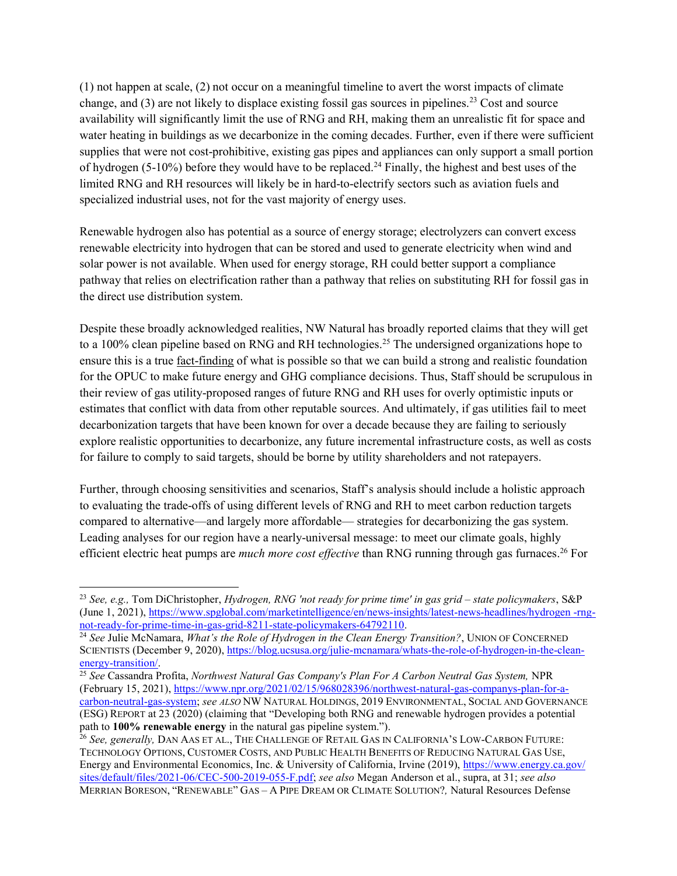(1) not happen at scale, (2) not occur on a meaningful timeline to avert the worst impacts of climate change, and  $(3)$  are not likely to displace existing fossil gas sources in pipelines.<sup>23</sup> Cost and source availability will significantly limit the use of RNG and RH, making them an unrealistic fit for space and water heating in buildings as we decarbonize in the coming decades. Further, even if there were sufficient supplies that were not cost-prohibitive, existing gas pipes and appliances can only support a small portion of hydrogen (5-10%) before they would have to be replaced.<sup>24</sup> Finally, the highest and best uses of the limited RNG and RH resources will likely be in hard-to-electrify sectors such as aviation fuels and specialized industrial uses, not for the vast majority of energy uses.

Renewable hydrogen also has potential as a source of energy storage; electrolyzers can convert excess renewable electricity into hydrogen that can be stored and used to generate electricity when wind and solar power is not available. When used for energy storage, RH could better support a compliance pathway that relies on electrification rather than a pathway that relies on substituting RH for fossil gas in the direct use distribution system.

Despite these broadly acknowledged realities, NW Natural has broadly reported claims that they will get to a 100% clean pipeline based on RNG and RH technologies.<sup>25</sup> The undersigned organizations hope to ensure this is a true fact-finding of what is possible so that we can build a strong and realistic foundation for the OPUC to make future energy and GHG compliance decisions. Thus, Staff should be scrupulous in their review of gas utility-proposed ranges of future RNG and RH uses for overly optimistic inputs or estimates that conflict with data from other reputable sources. And ultimately, if gas utilities fail to meet decarbonization targets that have been known for over a decade because they are failing to seriously explore realistic opportunities to decarbonize, any future incremental infrastructure costs, as well as costs for failure to comply to said targets, should be borne by utility shareholders and not ratepayers.

Further, through choosing sensitivities and scenarios, Staff's analysis should include a holistic approach to evaluating the trade-offs of using different levels of RNG and RH to meet carbon reduction targets compared to alternative—and largely more affordable— strategies for decarbonizing the gas system. Leading analyses for our region have a nearly-universal message: to meet our climate goals, highly efficient electric heat pumps are *much more cost effective* than RNG running through gas furnaces.<sup>26</sup> For

<sup>&</sup>lt;sup>23</sup> See, e.g., Tom DiChristopher, Hydrogen, RNG 'not ready for prime time' in gas grid – state policymakers, S&P (June 1, 2021), https://www.spglobal.com/marketintelligence/en/news-insights/latest-news-headlines/hydrogen -rngnot-ready-for-prime-time-in-gas-grid-8211-state-policymakers-64792110.

<sup>&</sup>lt;sup>24</sup> See Julie McNamara, *What's the Role of Hydrogen in the Clean Energy Transition?*, UNION OF CONCERNED SCIENTISTS (December 9, 2020), https://blog.ucsusa.org/julie-mcnamara/whats-the-role-of-hydrogen-in-the-cleanenergy-transition/.

<sup>&</sup>lt;sup>25</sup> See Cassandra Profita, Northwest Natural Gas Company's Plan For A Carbon Neutral Gas System, NPR (February 15, 2021), https://www.npr.org/2021/02/15/968028396/northwest-natural-gas-companys-plan-for-acarbon-neutral-gas-system; see ALSO NW NATURAL HOLDINGS, 2019 ENVIRONMENTAL, SOCIAL AND GOVERNANCE (ESG) REPORT at 23 (2020) (claiming that "Developing both RNG and renewable hydrogen provides a potential path to 100% renewable energy in the natural gas pipeline system.").

<sup>&</sup>lt;sup>26</sup> See, generally, DAN AAS ET AL., THE CHALLENGE OF RETAIL GAS IN CALIFORNIA'S LOW-CARBON FUTURE: TECHNOLOGY OPTIONS, CUSTOMER COSTS, AND PUBLIC HEALTH BENEFITS OF REDUCING NATURAL GAS USE, Energy and Environmental Economics, Inc. & University of California, Irvine (2019), https://www.energy.ca.gov/ sites/default/files/2021-06/CEC-500-2019-055-F.pdf; see also Megan Anderson et al., supra, at 31; see also MERRIAN BORESON, "RENEWABLE" GAS – A PIPE DREAM OR CLIMATE SOLUTION?, Natural Resources Defense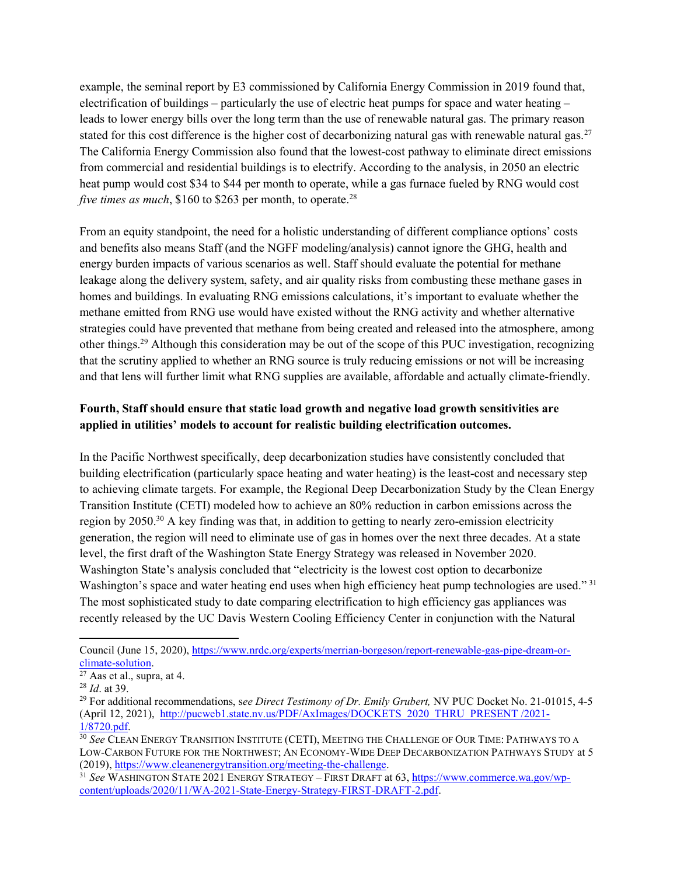example, the seminal report by E3 commissioned by California Energy Commission in 2019 found that, electrification of buildings – particularly the use of electric heat pumps for space and water heating – leads to lower energy bills over the long term than the use of renewable natural gas. The primary reason stated for this cost difference is the higher cost of decarbonizing natural gas with renewable natural gas.<sup>27</sup> The California Energy Commission also found that the lowest-cost pathway to eliminate direct emissions from commercial and residential buildings is to electrify. According to the analysis, in 2050 an electric heat pump would cost \$34 to \$44 per month to operate, while a gas furnace fueled by RNG would cost five times as much,  $$160$  to  $$263$  per month, to operate.<sup>28</sup>

From an equity standpoint, the need for a holistic understanding of different compliance options' costs and benefits also means Staff (and the NGFF modeling/analysis) cannot ignore the GHG, health and energy burden impacts of various scenarios as well. Staff should evaluate the potential for methane leakage along the delivery system, safety, and air quality risks from combusting these methane gases in homes and buildings. In evaluating RNG emissions calculations, it's important to evaluate whether the methane emitted from RNG use would have existed without the RNG activity and whether alternative strategies could have prevented that methane from being created and released into the atmosphere, among other things.<sup>29</sup> Although this consideration may be out of the scope of this PUC investigation, recognizing that the scrutiny applied to whether an RNG source is truly reducing emissions or not will be increasing and that lens will further limit what RNG supplies are available, affordable and actually climate-friendly.

## Fourth, Staff should ensure that static load growth and negative load growth sensitivities are applied in utilities' models to account for realistic building electrification outcomes.

In the Pacific Northwest specifically, deep decarbonization studies have consistently concluded that building electrification (particularly space heating and water heating) is the least-cost and necessary step to achieving climate targets. For example, the Regional Deep Decarbonization Study by the Clean Energy Transition Institute (CETI) modeled how to achieve an 80% reduction in carbon emissions across the region by 2050.<sup>30</sup> A key finding was that, in addition to getting to nearly zero-emission electricity generation, the region will need to eliminate use of gas in homes over the next three decades. At a state level, the first draft of the Washington State Energy Strategy was released in November 2020. Washington State's analysis concluded that "electricity is the lowest cost option to decarbonize Washington's space and water heating end uses when high efficiency heat pump technologies are used."<sup>31</sup> The most sophisticated study to date comparing electrification to high efficiency gas appliances was recently released by the UC Davis Western Cooling Efficiency Center in conjunction with the Natural

Council (June 15, 2020), https://www.nrdc.org/experts/merrian-borgeson/report-renewable-gas-pipe-dream-orclimate-solution.

<sup>27</sup> Aas et al., supra, at 4.

<sup>28</sup> Id. at 39.

<sup>&</sup>lt;sup>29</sup> For additional recommendations, see Direct Testimony of Dr. Emily Grubert, NV PUC Docket No. 21-01015, 4-5 (April 12, 2021), http://pucweb1.state.nv.us/PDF/AxImages/DOCKETS\_2020\_THRU\_PRESENT /2021-1/8720.pdf.

<sup>&</sup>lt;sup>30</sup> See CLEAN ENERGY TRANSITION INSTITUTE (CETI), MEETING THE CHALLENGE OF OUR TIME: PATHWAYS TO A LOW-CARBON FUTURE FOR THE NORTHWEST; AN ECONOMY-WIDE DEEP DECARBONIZATION PATHWAYS STUDY at 5 (2019), https://www.cleanenergytransition.org/meeting-the-challenge.

<sup>&</sup>lt;sup>31</sup> See WASHINGTON STATE 2021 ENERGY STRATEGY – FIRST DRAFT at 63, https://www.commerce.wa.gov/wpcontent/uploads/2020/11/WA-2021-State-Energy-Strategy-FIRST-DRAFT-2.pdf.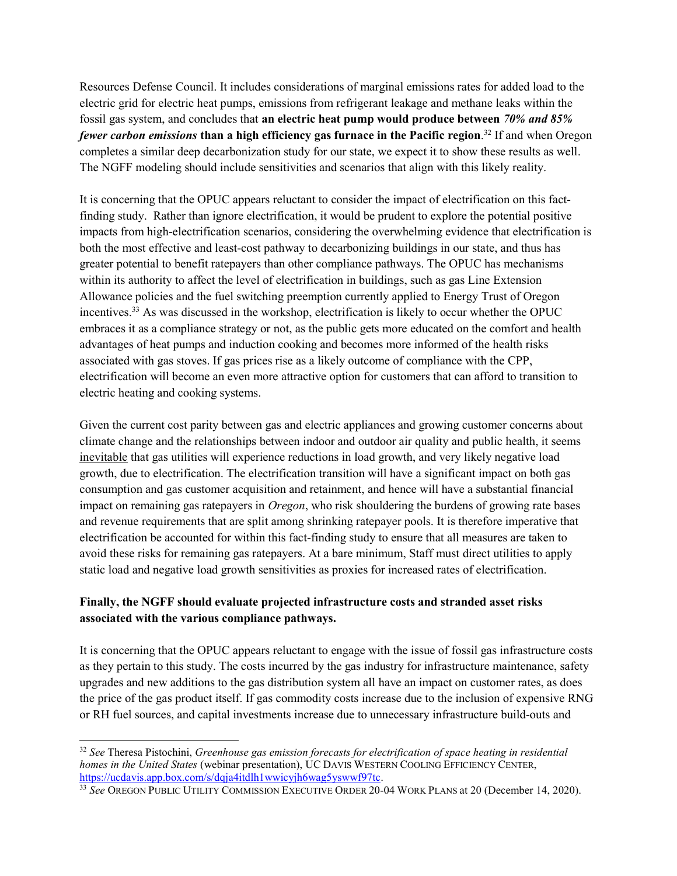Resources Defense Council. It includes considerations of marginal emissions rates for added load to the electric grid for electric heat pumps, emissions from refrigerant leakage and methane leaks within the fossil gas system, and concludes that an electric heat pump would produce between 70% and 85% fewer carbon emissions than a high efficiency gas furnace in the Pacific region.<sup>32</sup> If and when Oregon completes a similar deep decarbonization study for our state, we expect it to show these results as well. The NGFF modeling should include sensitivities and scenarios that align with this likely reality.

It is concerning that the OPUC appears reluctant to consider the impact of electrification on this factfinding study. Rather than ignore electrification, it would be prudent to explore the potential positive impacts from high-electrification scenarios, considering the overwhelming evidence that electrification is both the most effective and least-cost pathway to decarbonizing buildings in our state, and thus has greater potential to benefit ratepayers than other compliance pathways. The OPUC has mechanisms within its authority to affect the level of electrification in buildings, such as gas Line Extension Allowance policies and the fuel switching preemption currently applied to Energy Trust of Oregon incentives.<sup>33</sup> As was discussed in the workshop, electrification is likely to occur whether the OPUC embraces it as a compliance strategy or not, as the public gets more educated on the comfort and health advantages of heat pumps and induction cooking and becomes more informed of the health risks associated with gas stoves. If gas prices rise as a likely outcome of compliance with the CPP, electrification will become an even more attractive option for customers that can afford to transition to electric heating and cooking systems.

Given the current cost parity between gas and electric appliances and growing customer concerns about climate change and the relationships between indoor and outdoor air quality and public health, it seems inevitable that gas utilities will experience reductions in load growth, and very likely negative load growth, due to electrification. The electrification transition will have a significant impact on both gas consumption and gas customer acquisition and retainment, and hence will have a substantial financial impact on remaining gas ratepayers in *Oregon*, who risk shouldering the burdens of growing rate bases and revenue requirements that are split among shrinking ratepayer pools. It is therefore imperative that electrification be accounted for within this fact-finding study to ensure that all measures are taken to avoid these risks for remaining gas ratepayers. At a bare minimum, Staff must direct utilities to apply static load and negative load growth sensitivities as proxies for increased rates of electrification.

### Finally, the NGFF should evaluate projected infrastructure costs and stranded asset risks associated with the various compliance pathways.

It is concerning that the OPUC appears reluctant to engage with the issue of fossil gas infrastructure costs as they pertain to this study. The costs incurred by the gas industry for infrastructure maintenance, safety upgrades and new additions to the gas distribution system all have an impact on customer rates, as does the price of the gas product itself. If gas commodity costs increase due to the inclusion of expensive RNG or RH fuel sources, and capital investments increase due to unnecessary infrastructure build-outs and

 $32$  See Theresa Pistochini, Greenhouse gas emission forecasts for electrification of space heating in residential homes in the United States (webinar presentation), UC DAVIS WESTERN COOLING EFFICIENCY CENTER, https://ucdavis.app.box.com/s/dqja4itdlh1wwicyjh6wag5yswwf97tc.

<sup>&</sup>lt;sup>33</sup> See OREGON PUBLIC UTILITY COMMISSION EXECUTIVE ORDER 20-04 WORK PLANS at 20 (December 14, 2020).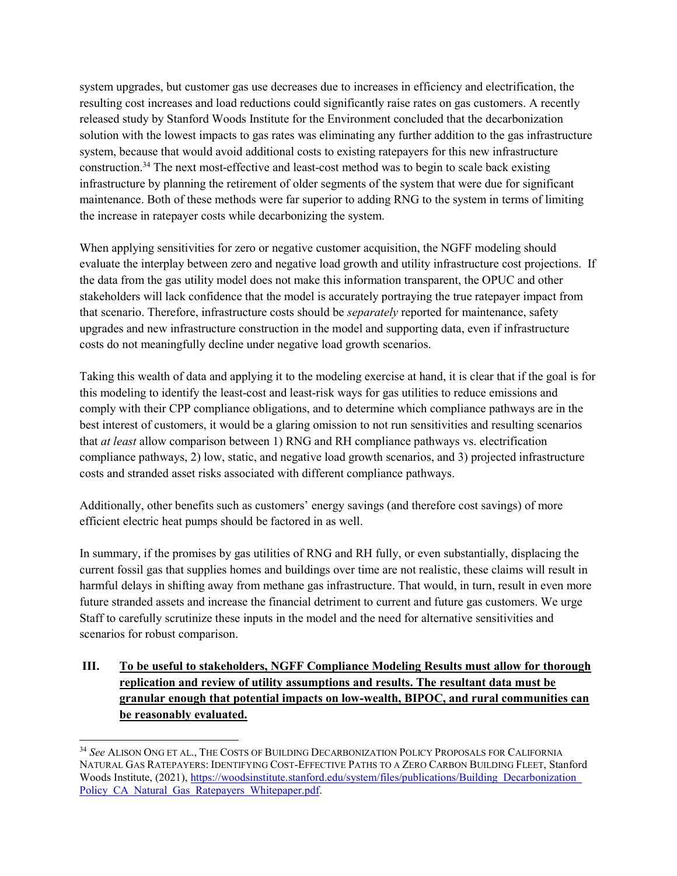system upgrades, but customer gas use decreases due to increases in efficiency and electrification, the resulting cost increases and load reductions could significantly raise rates on gas customers. A recently released study by Stanford Woods Institute for the Environment concluded that the decarbonization solution with the lowest impacts to gas rates was eliminating any further addition to the gas infrastructure system, because that would avoid additional costs to existing ratepayers for this new infrastructure construction.<sup>34</sup> The next most-effective and least-cost method was to begin to scale back existing infrastructure by planning the retirement of older segments of the system that were due for significant maintenance. Both of these methods were far superior to adding RNG to the system in terms of limiting the increase in ratepayer costs while decarbonizing the system.

When applying sensitivities for zero or negative customer acquisition, the NGFF modeling should evaluate the interplay between zero and negative load growth and utility infrastructure cost projections. If the data from the gas utility model does not make this information transparent, the OPUC and other stakeholders will lack confidence that the model is accurately portraying the true ratepayer impact from that scenario. Therefore, infrastructure costs should be *separately* reported for maintenance, safety upgrades and new infrastructure construction in the model and supporting data, even if infrastructure costs do not meaningfully decline under negative load growth scenarios.

Taking this wealth of data and applying it to the modeling exercise at hand, it is clear that if the goal is for this modeling to identify the least-cost and least-risk ways for gas utilities to reduce emissions and comply with their CPP compliance obligations, and to determine which compliance pathways are in the best interest of customers, it would be a glaring omission to not run sensitivities and resulting scenarios that *at least* allow comparison between 1) RNG and RH compliance pathways vs. electrification compliance pathways, 2) low, static, and negative load growth scenarios, and 3) projected infrastructure costs and stranded asset risks associated with different compliance pathways.

Additionally, other benefits such as customers' energy savings (and therefore cost savings) of more efficient electric heat pumps should be factored in as well.

In summary, if the promises by gas utilities of RNG and RH fully, or even substantially, displacing the current fossil gas that supplies homes and buildings over time are not realistic, these claims will result in harmful delays in shifting away from methane gas infrastructure. That would, in turn, result in even more future stranded assets and increase the financial detriment to current and future gas customers. We urge Staff to carefully scrutinize these inputs in the model and the need for alternative sensitivities and scenarios for robust comparison.

# III. To be useful to stakeholders, NGFF Compliance Modeling Results must allow for thorough replication and review of utility assumptions and results. The resultant data must be granular enough that potential impacts on low-wealth, BIPOC, and rural communities can be reasonably evaluated.

 <sup>34</sup> See ALISON ONG ET AL., THE COSTS OF BUILDING DECARBONIZATION POLICY PROPOSALS FOR CALIFORNIA NATURAL GAS RATEPAYERS: IDENTIFYING COST-EFFECTIVE PATHS TO A ZERO CARBON BUILDING FLEET, Stanford Woods Institute, (2021), https://woodsinstitute.stanford.edu/system/files/publications/Building\_Decarbonization Policy\_CA\_Natural\_Gas\_Ratepayers\_Whitepaper.pdf.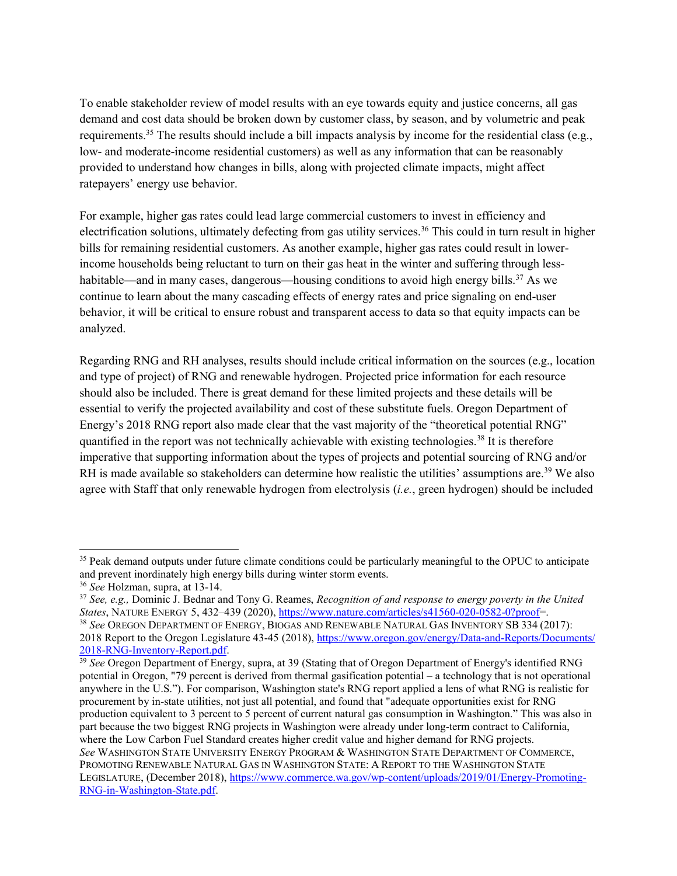To enable stakeholder review of model results with an eye towards equity and justice concerns, all gas demand and cost data should be broken down by customer class, by season, and by volumetric and peak requirements.<sup>35</sup> The results should include a bill impacts analysis by income for the residential class (e.g., low- and moderate-income residential customers) as well as any information that can be reasonably provided to understand how changes in bills, along with projected climate impacts, might affect ratepayers' energy use behavior.

For example, higher gas rates could lead large commercial customers to invest in efficiency and electrification solutions, ultimately defecting from gas utility services.<sup>36</sup> This could in turn result in higher bills for remaining residential customers. As another example, higher gas rates could result in lowerincome households being reluctant to turn on their gas heat in the winter and suffering through lesshabitable—and in many cases, dangerous—housing conditions to avoid high energy bills.<sup>37</sup> As we continue to learn about the many cascading effects of energy rates and price signaling on end-user behavior, it will be critical to ensure robust and transparent access to data so that equity impacts can be analyzed.

Regarding RNG and RH analyses, results should include critical information on the sources (e.g., location and type of project) of RNG and renewable hydrogen. Projected price information for each resource should also be included. There is great demand for these limited projects and these details will be essential to verify the projected availability and cost of these substitute fuels. Oregon Department of Energy's 2018 RNG report also made clear that the vast majority of the "theoretical potential RNG" quantified in the report was not technically achievable with existing technologies.<sup>38</sup> It is therefore imperative that supporting information about the types of projects and potential sourcing of RNG and/or RH is made available so stakeholders can determine how realistic the utilities' assumptions are.<sup>39</sup> We also agree with Staff that only renewable hydrogen from electrolysis (*i.e.*, green hydrogen) should be included

<sup>&</sup>lt;sup>35</sup> Peak demand outputs under future climate conditions could be particularly meaningful to the OPUC to anticipate and prevent inordinately high energy bills during winter storm events.

<sup>36</sup> See Holzman, supra, at 13-14.

 $37$  See, e.g., Dominic J. Bednar and Tony G. Reames, Recognition of and response to energy poverty in the United States, NATURE ENERGY 5, 432–439 (2020), https://www.nature.com/articles/s41560-020-0582-0?proof=.

<sup>&</sup>lt;sup>38</sup> See OREGON DEPARTMENT OF ENERGY, BIOGAS AND RENEWABLE NATURAL GAS INVENTORY SB 334 (2017): 2018 Report to the Oregon Legislature 43-45 (2018), https://www.oregon.gov/energy/Data-and-Reports/Documents/ 2018-RNG-Inventory-Report.pdf.

<sup>&</sup>lt;sup>39</sup> See Oregon Department of Energy, supra, at 39 (Stating that of Oregon Department of Energy's identified RNG potential in Oregon, "79 percent is derived from thermal gasification potential – a technology that is not operational anywhere in the U.S."). For comparison, Washington state's RNG report applied a lens of what RNG is realistic for procurement by in-state utilities, not just all potential, and found that "adequate opportunities exist for RNG production equivalent to 3 percent to 5 percent of current natural gas consumption in Washington." This was also in part because the two biggest RNG projects in Washington were already under long-term contract to California, where the Low Carbon Fuel Standard creates higher credit value and higher demand for RNG projects. See WASHINGTON STATE UNIVERSITY ENERGY PROGRAM & WASHINGTON STATE DEPARTMENT OF COMMERCE, PROMOTING RENEWABLE NATURAL GAS IN WASHINGTON STATE: A REPORT TO THE WASHINGTON STATE LEGISLATURE, (December 2018), https://www.commerce.wa.gov/wp-content/uploads/2019/01/Energy-Promoting-RNG-in-Washington-State.pdf.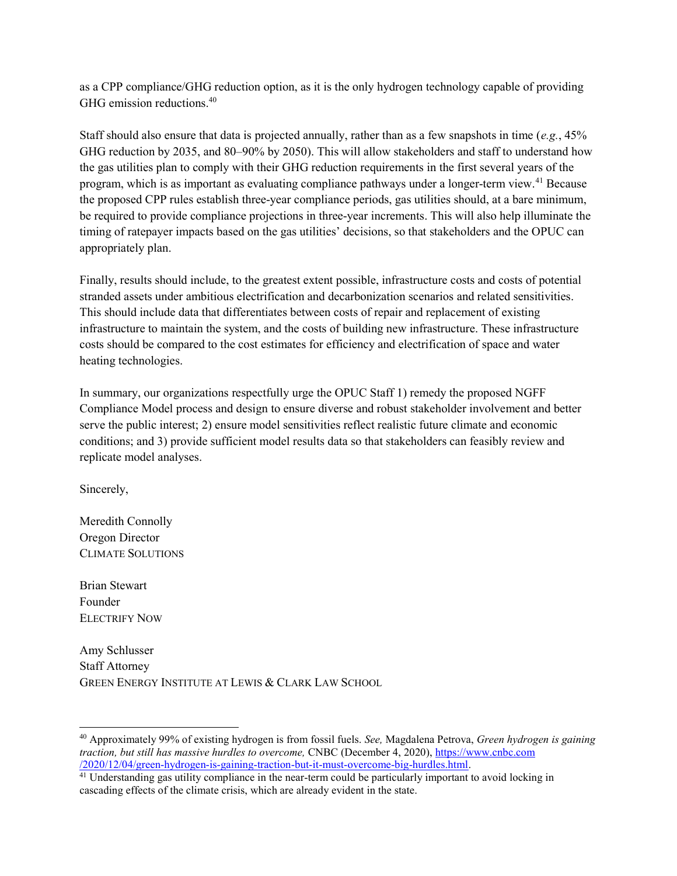as a CPP compliance/GHG reduction option, as it is the only hydrogen technology capable of providing GHG emission reductions.<sup>40</sup>

Staff should also ensure that data is projected annually, rather than as a few snapshots in time (e.g.,  $45\%$ ) GHG reduction by 2035, and 80–90% by 2050). This will allow stakeholders and staff to understand how the gas utilities plan to comply with their GHG reduction requirements in the first several years of the program, which is as important as evaluating compliance pathways under a longer-term view.<sup>41</sup> Because the proposed CPP rules establish three-year compliance periods, gas utilities should, at a bare minimum, be required to provide compliance projections in three-year increments. This will also help illuminate the timing of ratepayer impacts based on the gas utilities' decisions, so that stakeholders and the OPUC can appropriately plan.

Finally, results should include, to the greatest extent possible, infrastructure costs and costs of potential stranded assets under ambitious electrification and decarbonization scenarios and related sensitivities. This should include data that differentiates between costs of repair and replacement of existing infrastructure to maintain the system, and the costs of building new infrastructure. These infrastructure costs should be compared to the cost estimates for efficiency and electrification of space and water heating technologies.

In summary, our organizations respectfully urge the OPUC Staff 1) remedy the proposed NGFF Compliance Model process and design to ensure diverse and robust stakeholder involvement and better serve the public interest; 2) ensure model sensitivities reflect realistic future climate and economic conditions; and 3) provide sufficient model results data so that stakeholders can feasibly review and replicate model analyses.

Sincerely,

Meredith Connolly Oregon Director CLIMATE SOLUTIONS

Brian Stewart Founder ELECTRIFY NOW

Amy Schlusser Staff Attorney GREEN ENERGY INSTITUTE AT LEWIS & CLARK LAW SCHOOL

 $40$  Approximately 99% of existing hydrogen is from fossil fuels. See, Magdalena Petrova, Green hydrogen is gaining traction, but still has massive hurdles to overcome, CNBC (December 4, 2020), https://www.cnbc.com /2020/12/04/green-hydrogen-is-gaining-traction-but-it-must-overcome-big-hurdles.html.

<sup>&</sup>lt;sup>41</sup> Understanding gas utility compliance in the near-term could be particularly important to avoid locking in cascading effects of the climate crisis, which are already evident in the state.